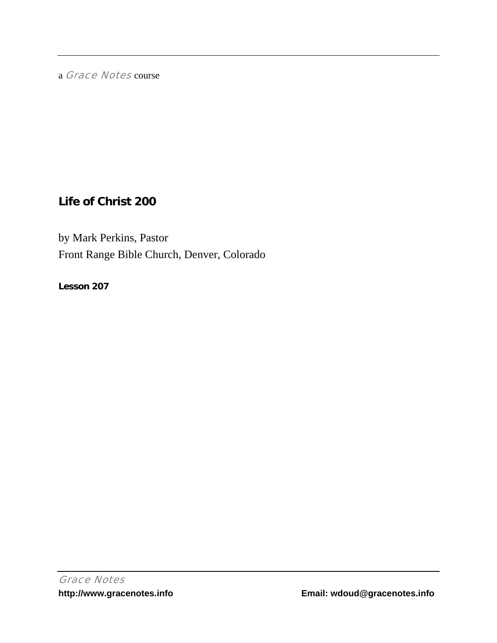a Grace Notes course

# **Life of Christ 200**

by Mark Perkins, Pastor Front Range Bible Church, Denver, Colorado

**Lesson 207**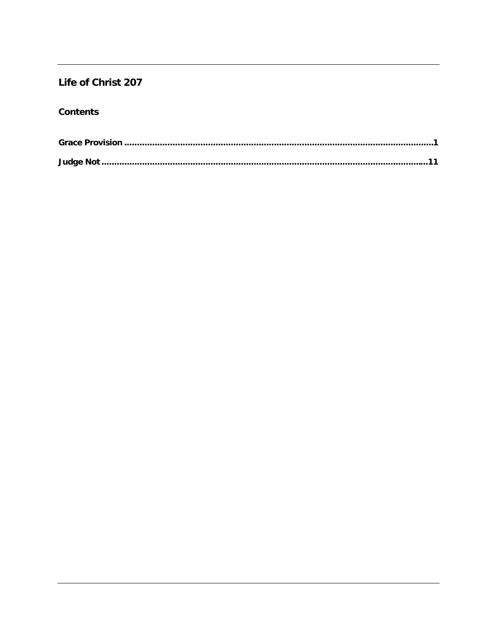## Life of Christ 207

### **Contents**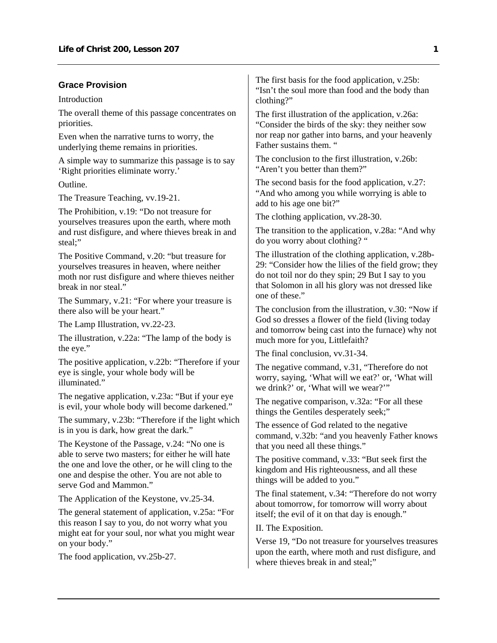#### <span id="page-2-0"></span>**Grace Provision**

Introduction

The overall theme of this passage concentrates on priorities.

Even when the narrative turns to worry, the underlying theme remains in priorities.

A simple way to summarize this passage is to say 'Right priorities eliminate worry.'

Outline.

The Treasure Teaching, vv.19-21.

The Prohibition, v.19: "Do not treasure for yourselves treasures upon the earth, where moth and rust disfigure, and where thieves break in and steal;"

The Positive Command, v.20: "but treasure for yourselves treasures in heaven, where neither moth nor rust disfigure and where thieves neither break in nor steal."

The Summary, v.21: "For where your treasure is there also will be your heart."

The Lamp Illustration, vv.22-23.

The illustration, v.22a: "The lamp of the body is the eye."

The positive application, v.22b: "Therefore if your eye is single, your whole body will be illuminated."

The negative application, v.23a: "But if your eye is evil, your whole body will become darkened."

The summary, v.23b: "Therefore if the light which is in you is dark, how great the dark."

The Keystone of the Passage, v.24: "No one is able to serve two masters; for either he will hate the one and love the other, or he will cling to the one and despise the other. You are not able to serve God and Mammon."

The Application of the Keystone, vv.25-34.

The general statement of application, v.25a: "For this reason I say to you, do not worry what you might eat for your soul, nor what you might wear on your body."

The food application, vv.25b-27.

The first basis for the food application, v.25b: "Isn't the soul more than food and the body than clothing?"

The first illustration of the application, v.26a: "Consider the birds of the sky: they neither sow nor reap nor gather into barns, and your heavenly Father sustains them. "

The conclusion to the first illustration, v.26b: "Aren't you better than them?"

The second basis for the food application, v.27: "And who among you while worrying is able to add to his age one bit?"

The clothing application, vv.28-30.

The transition to the application, v.28a: "And why do you worry about clothing? "

The illustration of the clothing application, v.28b-29: "Consider how the lilies of the field grow; they do not toil nor do they spin; 29 But I say to you that Solomon in all his glory was not dressed like one of these."

The conclusion from the illustration, v.30: "Now if God so dresses a flower of the field (living today and tomorrow being cast into the furnace) why not much more for you, Littlefaith?

The final conclusion, vv.31-34.

The negative command, v.31, "Therefore do not worry, saying, 'What will we eat?' or, 'What will we drink?' or, 'What will we wear?'"

The negative comparison, v.32a: "For all these things the Gentiles desperately seek;"

The essence of God related to the negative command, v.32b: "and you heavenly Father knows that you need all these things."

The positive command, v.33: "But seek first the kingdom and His righteousness, and all these things will be added to you."

The final statement, v.34: "Therefore do not worry about tomorrow, for tomorrow will worry about itself; the evil of it on that day is enough."

II. The Exposition.

Verse 19, "Do not treasure for yourselves treasures upon the earth, where moth and rust disfigure, and where thieves break in and steal;"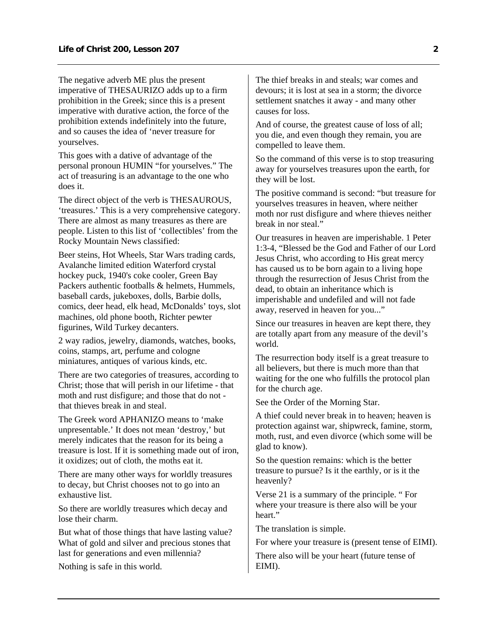The negative adverb ME plus the present imperative of THESAURIZO adds up to a firm prohibition in the Greek; since this is a present imperative with durative action, the force of the prohibition extends indefinitely into the future, and so causes the idea of 'never treasure for yourselves.

This goes with a dative of advantage of the personal pronoun HUMIN "for yourselves." The act of treasuring is an advantage to the one who does it.

The direct object of the verb is THESAUROUS, 'treasures.' This is a very comprehensive category. There are almost as many treasures as there are people. Listen to this list of 'collectibles' from the Rocky Mountain News classified:

Beer steins, Hot Wheels, Star Wars trading cards, Avalanche limited edition Waterford crystal hockey puck, 1940's coke cooler, Green Bay Packers authentic footballs & helmets, Hummels, baseball cards, jukeboxes, dolls, Barbie dolls, comics, deer head, elk head, McDonalds' toys, slot machines, old phone booth, Richter pewter figurines, Wild Turkey decanters.

2 way radios, jewelry, diamonds, watches, books, coins, stamps, art, perfume and cologne miniatures, antiques of various kinds, etc.

There are two categories of treasures, according to Christ; those that will perish in our lifetime - that moth and rust disfigure; and those that do not that thieves break in and steal.

The Greek word APHANIZO means to 'make unpresentable.' It does not mean 'destroy,' but merely indicates that the reason for its being a treasure is lost. If it is something made out of iron, it oxidizes; out of cloth, the moths eat it.

There are many other ways for worldly treasures to decay, but Christ chooses not to go into an exhaustive list.

So there are worldly treasures which decay and lose their charm.

But what of those things that have lasting value? What of gold and silver and precious stones that last for generations and even millennia?

Nothing is safe in this world.

The thief breaks in and steals; war comes and devours; it is lost at sea in a storm; the divorce settlement snatches it away - and many other causes for loss.

And of course, the greatest cause of loss of all; you die, and even though they remain, you are compelled to leave them.

So the command of this verse is to stop treasuring away for yourselves treasures upon the earth, for they will be lost.

The positive command is second: "but treasure for yourselves treasures in heaven, where neither moth nor rust disfigure and where thieves neither break in nor steal."

Our treasures in heaven are imperishable. 1 Peter 1:3-4, "Blessed be the God and Father of our Lord Jesus Christ, who according to His great mercy has caused us to be born again to a living hope through the resurrection of Jesus Christ from the dead, to obtain an inheritance which is imperishable and undefiled and will not fade away, reserved in heaven for you..."

Since our treasures in heaven are kept there, they are totally apart from any measure of the devil's world.

The resurrection body itself is a great treasure to all believers, but there is much more than that waiting for the one who fulfills the protocol plan for the church age.

See the Order of the Morning Star.

A thief could never break in to heaven; heaven is protection against war, shipwreck, famine, storm, moth, rust, and even divorce (which some will be glad to know).

So the question remains: which is the better treasure to pursue? Is it the earthly, or is it the heavenly?

Verse 21 is a summary of the principle. " For where your treasure is there also will be your heart."

The translation is simple.

For where your treasure is (present tense of EIMI).

There also will be your heart (future tense of EIMI).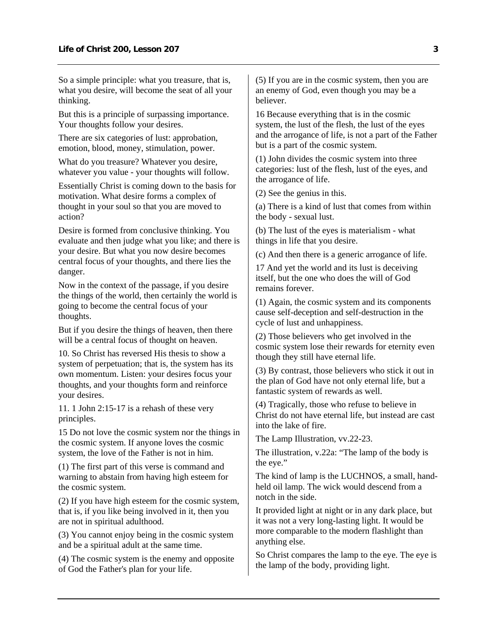So a simple principle: what you treasure, that is, what you desire, will become the seat of all your thinking.

But this is a principle of surpassing importance. Your thoughts follow your desires.

There are six categories of lust: approbation, emotion, blood, money, stimulation, power.

What do you treasure? Whatever you desire, whatever you value - your thoughts will follow.

Essentially Christ is coming down to the basis for motivation. What desire forms a complex of thought in your soul so that you are moved to action?

Desire is formed from conclusive thinking. You evaluate and then judge what you like; and there is your desire. But what you now desire becomes central focus of your thoughts, and there lies the danger.

Now in the context of the passage, if you desire the things of the world, then certainly the world is going to become the central focus of your thoughts.

But if you desire the things of heaven, then there will be a central focus of thought on heaven.

10. So Christ has reversed His thesis to show a system of perpetuation; that is, the system has its own momentum. Listen: your desires focus your thoughts, and your thoughts form and reinforce your desires.

11. 1 John 2:15-17 is a rehash of these very principles.

15 Do not love the cosmic system nor the things in the cosmic system. If anyone loves the cosmic system, the love of the Father is not in him.

(1) The first part of this verse is command and warning to abstain from having high esteem for the cosmic system.

(2) If you have high esteem for the cosmic system, that is, if you like being involved in it, then you are not in spiritual adulthood.

(3) You cannot enjoy being in the cosmic system and be a spiritual adult at the same time.

(4) The cosmic system is the enemy and opposite of God the Father's plan for your life.

(5) If you are in the cosmic system, then you are an enemy of God, even though you may be a believer.

16 Because everything that is in the cosmic system, the lust of the flesh, the lust of the eyes and the arrogance of life, is not a part of the Father but is a part of the cosmic system.

(1) John divides the cosmic system into three categories: lust of the flesh, lust of the eyes, and the arrogance of life.

(2) See the genius in this.

(a) There is a kind of lust that comes from within the body - sexual lust.

(b) The lust of the eyes is materialism - what things in life that you desire.

(c) And then there is a generic arrogance of life.

17 And yet the world and its lust is deceiving itself, but the one who does the will of God remains forever.

(1) Again, the cosmic system and its components cause self-deception and self-destruction in the cycle of lust and unhappiness.

(2) Those believers who get involved in the cosmic system lose their rewards for eternity even though they still have eternal life.

(3) By contrast, those believers who stick it out in the plan of God have not only eternal life, but a fantastic system of rewards as well.

(4) Tragically, those who refuse to believe in Christ do not have eternal life, but instead are cast into the lake of fire.

The Lamp Illustration, vv.22-23.

The illustration, v.22a: "The lamp of the body is the eye."

The kind of lamp is the LUCHNOS, a small, handheld oil lamp. The wick would descend from a notch in the side.

It provided light at night or in any dark place, but it was not a very long-lasting light. It would be more comparable to the modern flashlight than anything else.

So Christ compares the lamp to the eye. The eye is the lamp of the body, providing light.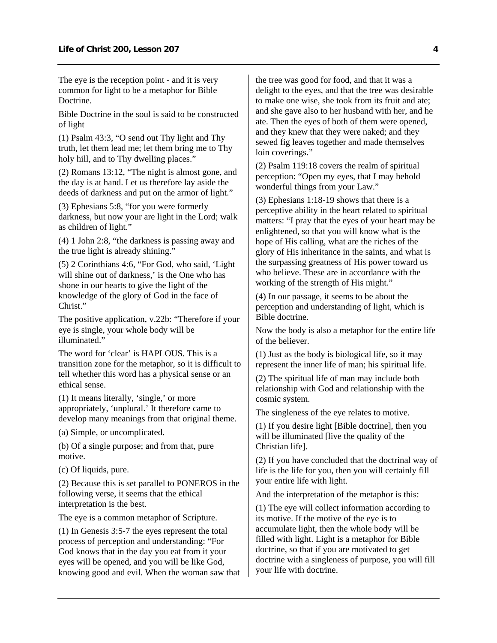The eye is the reception point - and it is very common for light to be a metaphor for Bible Doctrine.

Bible Doctrine in the soul is said to be constructed of light

(1) Psalm 43:3, "O send out Thy light and Thy truth, let them lead me; let them bring me to Thy holy hill, and to Thy dwelling places."

(2) Romans 13:12, "The night is almost gone, and the day is at hand. Let us therefore lay aside the deeds of darkness and put on the armor of light."

(3) Ephesians 5:8, "for you were formerly darkness, but now your are light in the Lord; walk as children of light."

(4) 1 John 2:8, "the darkness is passing away and the true light is already shining."

(5) 2 Corinthians 4:6, "For God, who said, 'Light will shine out of darkness,' is the One who has shone in our hearts to give the light of the knowledge of the glory of God in the face of Christ."

The positive application, v.22b: "Therefore if your eye is single, your whole body will be illuminated."

The word for 'clear' is HAPLOUS. This is a transition zone for the metaphor, so it is difficult to tell whether this word has a physical sense or an ethical sense.

(1) It means literally, 'single,' or more appropriately, 'unplural.' It therefore came to develop many meanings from that original theme.

(a) Simple, or uncomplicated.

(b) Of a single purpose; and from that, pure motive.

(c) Of liquids, pure.

(2) Because this is set parallel to PONEROS in the following verse, it seems that the ethical interpretation is the best.

The eye is a common metaphor of Scripture.

(1) In Genesis 3:5-7 the eyes represent the total process of perception and understanding: "For God knows that in the day you eat from it your eyes will be opened, and you will be like God, knowing good and evil. When the woman saw that the tree was good for food, and that it was a delight to the eyes, and that the tree was desirable to make one wise, she took from its fruit and ate; and she gave also to her husband with her, and he ate. Then the eyes of both of them were opened, and they knew that they were naked; and they sewed fig leaves together and made themselves loin coverings."

(2) Psalm 119:18 covers the realm of spiritual perception: "Open my eyes, that I may behold wonderful things from your Law."

(3) Ephesians 1:18-19 shows that there is a perceptive ability in the heart related to spiritual matters: "I pray that the eyes of your heart may be enlightened, so that you will know what is the hope of His calling, what are the riches of the glory of His inheritance in the saints, and what is the surpassing greatness of His power toward us who believe. These are in accordance with the working of the strength of His might."

(4) In our passage, it seems to be about the perception and understanding of light, which is Bible doctrine.

Now the body is also a metaphor for the entire life of the believer.

(1) Just as the body is biological life, so it may represent the inner life of man; his spiritual life.

(2) The spiritual life of man may include both relationship with God and relationship with the cosmic system.

The singleness of the eye relates to motive.

(1) If you desire light [Bible doctrine], then you will be illuminated [live the quality of the Christian life].

(2) If you have concluded that the doctrinal way of life is the life for you, then you will certainly fill your entire life with light.

And the interpretation of the metaphor is this:

(1) The eye will collect information according to its motive. If the motive of the eye is to accumulate light, then the whole body will be filled with light. Light is a metaphor for Bible doctrine, so that if you are motivated to get doctrine with a singleness of purpose, you will fill your life with doctrine.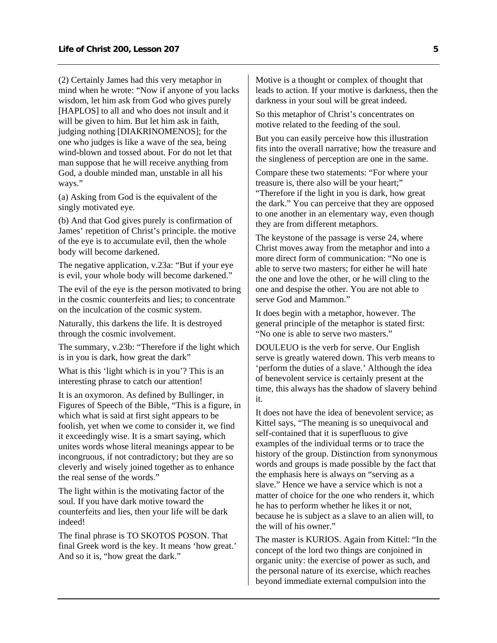(2) Certainly James had this very metaphor in mind when he wrote: "Now if anyone of you lacks wisdom, let him ask from God who gives purely [HAPLOS] to all and who does not insult and it will be given to him. But let him ask in faith, judging nothing [DIAKRINOMENOS]; for the one who judges is like a wave of the sea, being wind-blown and tossed about. For do not let that man suppose that he will receive anything from God, a double minded man, unstable in all his ways."

(a) Asking from God is the equivalent of the singly motivated eye.

(b) And that God gives purely is confirmation of James' repetition of Christ's principle. the motive of the eye is to accumulate evil, then the whole body will become darkened.

The negative application, v.23a: "But if your eye is evil, your whole body will become darkened."

The evil of the eye is the person motivated to bring in the cosmic counterfeits and lies; to concentrate on the inculcation of the cosmic system.

Naturally, this darkens the life. It is destroyed through the cosmic involvement.

The summary, v.23b: "Therefore if the light which is in you is dark, how great the dark"

What is this 'light which is in you'? This is an interesting phrase to catch our attention!

It is an oxymoron. As defined by Bullinger, in Figures of Speech of the Bible, "This is a figure, in which what is said at first sight appears to be foolish, yet when we come to consider it, we find it exceedingly wise. It is a smart saying, which unites words whose literal meanings appear to be incongruous, if not contradictory; but they are so cleverly and wisely joined together as to enhance the real sense of the words."

The light within is the motivating factor of the soul. If you have dark motive toward the counterfeits and lies, then your life will be dark indeed!

The final phrase is TO SKOTOS POSON. That final Greek word is the key. It means 'how great.' And so it is, "how great the dark."

Motive is a thought or complex of thought that leads to action. If your motive is darkness, then the darkness in your soul will be great indeed.

So this metaphor of Christ's concentrates on motive related to the feeding of the soul.

But you can easily perceive how this illustration fits into the overall narrative; how the treasure and the singleness of perception are one in the same.

Compare these two statements: "For where your treasure is, there also will be your heart;"

"Therefore if the light in you is dark, how great the dark." You can perceive that they are opposed to one another in an elementary way, even though they are from different metaphors.

The keystone of the passage is verse 24, where Christ moves away from the metaphor and into a more direct form of communication: "No one is able to serve two masters; for either he will hate the one and love the other, or he will cling to the one and despise the other. You are not able to serve God and Mammon."

It does begin with a metaphor, however. The general principle of the metaphor is stated first: "No one is able to serve two masters."

DOULEUO is the verb for serve. Our English serve is greatly watered down. This verb means to 'perform the duties of a slave.' Although the idea of benevolent service is certainly present at the time, this always has the shadow of slavery behind it.

It does not have the idea of benevolent service; as Kittel says, "The meaning is so unequivocal and self-contained that it is superfluous to give examples of the individual terms or to trace the history of the group. Distinction from synonymous words and groups is made possible by the fact that the emphasis here is always on "serving as a slave." Hence we have a service which is not a matter of choice for the one who renders it, which he has to perform whether he likes it or not, because he is subject as a slave to an alien will, to the will of his owner."

The master is KURIOS. Again from Kittel: "In the concept of the lord two things are conjoined in organic unity: the exercise of power as such, and the personal nature of its exercise, which reaches beyond immediate external compulsion into the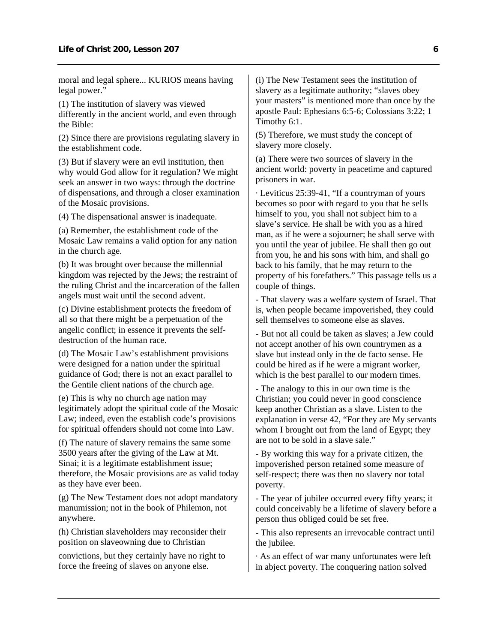moral and legal sphere... KURIOS means having legal power."

(1) The institution of slavery was viewed differently in the ancient world, and even through the Bible:

(2) Since there are provisions regulating slavery in the establishment code.

(3) But if slavery were an evil institution, then why would God allow for it regulation? We might seek an answer in two ways: through the doctrine of dispensations, and through a closer examination of the Mosaic provisions.

(4) The dispensational answer is inadequate.

(a) Remember, the establishment code of the Mosaic Law remains a valid option for any nation in the church age.

(b) It was brought over because the millennial kingdom was rejected by the Jews; the restraint of the ruling Christ and the incarceration of the fallen angels must wait until the second advent.

(c) Divine establishment protects the freedom of all so that there might be a perpetuation of the angelic conflict; in essence it prevents the selfdestruction of the human race.

(d) The Mosaic Law's establishment provisions were designed for a nation under the spiritual guidance of God; there is not an exact parallel to the Gentile client nations of the church age.

(e) This is why no church age nation may legitimately adopt the spiritual code of the Mosaic Law; indeed, even the establish code's provisions for spiritual offenders should not come into Law.

(f) The nature of slavery remains the same some 3500 years after the giving of the Law at Mt. Sinai; it is a legitimate establishment issue; therefore, the Mosaic provisions are as valid today as they have ever been.

(g) The New Testament does not adopt mandatory manumission; not in the book of Philemon, not anywhere.

(h) Christian slaveholders may reconsider their position on slaveowning due to Christian

convictions, but they certainly have no right to force the freeing of slaves on anyone else.

(i) The New Testament sees the institution of slavery as a legitimate authority; "slaves obey your masters" is mentioned more than once by the apostle Paul: Ephesians 6:5-6; Colossians 3:22; 1 Timothy 6:1.

(5) Therefore, we must study the concept of slavery more closely.

(a) There were two sources of slavery in the ancient world: poverty in peacetime and captured prisoners in war.

· Leviticus 25:39-41, "If a countryman of yours becomes so poor with regard to you that he sells himself to you, you shall not subject him to a slave's service. He shall be with you as a hired man, as if he were a sojourner; he shall serve with you until the year of jubilee. He shall then go out from you, he and his sons with him, and shall go back to his family, that he may return to the property of his forefathers." This passage tells us a couple of things.

- That slavery was a welfare system of Israel. That is, when people became impoverished, they could sell themselves to someone else as slaves.

- But not all could be taken as slaves; a Jew could not accept another of his own countrymen as a slave but instead only in the de facto sense. He could be hired as if he were a migrant worker, which is the best parallel to our modern times.

- The analogy to this in our own time is the Christian; you could never in good conscience keep another Christian as a slave. Listen to the explanation in verse 42, "For they are My servants whom I brought out from the land of Egypt; they are not to be sold in a slave sale."

- By working this way for a private citizen, the impoverished person retained some measure of self-respect; there was then no slavery nor total poverty.

- The year of jubilee occurred every fifty years; it could conceivably be a lifetime of slavery before a person thus obliged could be set free.

- This also represents an irrevocable contract until the jubilee.

· As an effect of war many unfortunates were left in abject poverty. The conquering nation solved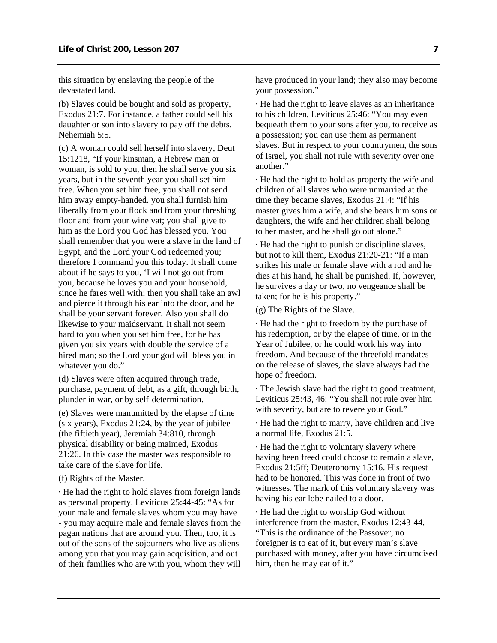this situation by enslaving the people of the devastated land.

(b) Slaves could be bought and sold as property, Exodus 21:7. For instance, a father could sell his daughter or son into slavery to pay off the debts. Nehemiah 5:5.

(c) A woman could sell herself into slavery, Deut 15:1218, "If your kinsman, a Hebrew man or woman, is sold to you, then he shall serve you six years, but in the seventh year you shall set him free. When you set him free, you shall not send him away empty-handed. you shall furnish him liberally from your flock and from your threshing floor and from your wine vat; you shall give to him as the Lord you God has blessed you. You shall remember that you were a slave in the land of Egypt, and the Lord your God redeemed you; therefore I command you this today. It shall come about if he says to you, 'I will not go out from you, because he loves you and your household, since he fares well with; then you shall take an awl and pierce it through his ear into the door, and he shall be your servant forever. Also you shall do likewise to your maidservant. It shall not seem hard to you when you set him free, for he has given you six years with double the service of a hired man; so the Lord your god will bless you in whatever you do."

(d) Slaves were often acquired through trade, purchase, payment of debt, as a gift, through birth, plunder in war, or by self-determination.

(e) Slaves were manumitted by the elapse of time (six years), Exodus 21:24, by the year of jubilee (the fiftieth year), Jeremiah 34:810, through physical disability or being maimed, Exodus 21:26. In this case the master was responsible to take care of the slave for life.

#### (f) Rights of the Master.

· He had the right to hold slaves from foreign lands as personal property. Leviticus 25:44-45: "As for your male and female slaves whom you may have - you may acquire male and female slaves from the pagan nations that are around you. Then, too, it is out of the sons of the sojourners who live as aliens among you that you may gain acquisition, and out of their families who are with you, whom they will

have produced in your land; they also may become your possession."

· He had the right to leave slaves as an inheritance to his children, Leviticus 25:46: "You may even bequeath them to your sons after you, to receive as a possession; you can use them as permanent slaves. But in respect to your countrymen, the sons of Israel, you shall not rule with severity over one another."

· He had the right to hold as property the wife and children of all slaves who were unmarried at the time they became slaves, Exodus 21:4: "If his master gives him a wife, and she bears him sons or daughters, the wife and her children shall belong to her master, and he shall go out alone."

· He had the right to punish or discipline slaves, but not to kill them, Exodus 21:20-21: "If a man strikes his male or female slave with a rod and he dies at his hand, he shall be punished. If, however, he survives a day or two, no vengeance shall be taken; for he is his property."

(g) The Rights of the Slave.

· He had the right to freedom by the purchase of his redemption, or by the elapse of time, or in the Year of Jubilee, or he could work his way into freedom. And because of the threefold mandates on the release of slaves, the slave always had the hope of freedom.

· The Jewish slave had the right to good treatment, Leviticus 25:43, 46: "You shall not rule over him with severity, but are to revere your God."

· He had the right to marry, have children and live a normal life, Exodus 21:5.

· He had the right to voluntary slavery where having been freed could choose to remain a slave, Exodus 21:5ff; Deuteronomy 15:16. His request had to be honored. This was done in front of two witnesses. The mark of this voluntary slavery was having his ear lobe nailed to a door.

· He had the right to worship God without interference from the master, Exodus 12:43-44, "This is the ordinance of the Passover, no foreigner is to eat of it, but every man's slave purchased with money, after you have circumcised him, then he may eat of it."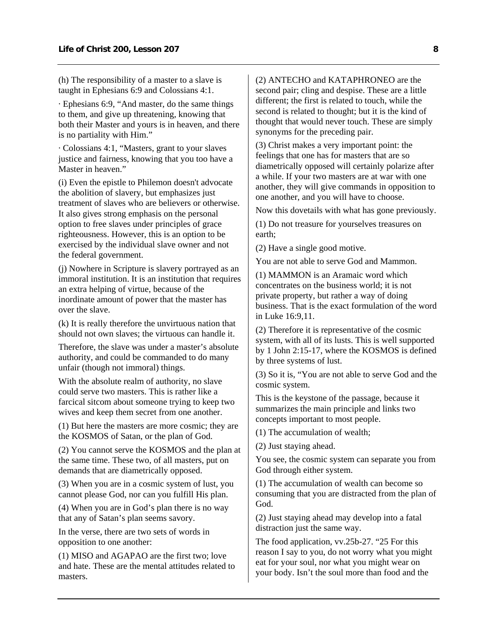(h) The responsibility of a master to a slave is taught in Ephesians 6:9 and Colossians 4:1.

· Ephesians 6:9, "And master, do the same things to them, and give up threatening, knowing that both their Master and yours is in heaven, and there is no partiality with Him."

· Colossians 4:1, "Masters, grant to your slaves justice and fairness, knowing that you too have a Master in heaven."

(i) Even the epistle to Philemon doesn't advocate the abolition of slavery, but emphasizes just treatment of slaves who are believers or otherwise. It also gives strong emphasis on the personal option to free slaves under principles of grace righteousness. However, this is an option to be exercised by the individual slave owner and not the federal government.

(j) Nowhere in Scripture is slavery portrayed as an immoral institution. It is an institution that requires an extra helping of virtue, because of the inordinate amount of power that the master has over the slave.

(k) It is really therefore the unvirtuous nation that should not own slaves; the virtuous can handle it.

Therefore, the slave was under a master's absolute authority, and could be commanded to do many unfair (though not immoral) things.

With the absolute realm of authority, no slave could serve two masters. This is rather like a farcical sitcom about someone trying to keep two wives and keep them secret from one another.

(1) But here the masters are more cosmic; they are the KOSMOS of Satan, or the plan of God.

(2) You cannot serve the KOSMOS and the plan at the same time. These two, of all masters, put on demands that are diametrically opposed.

(3) When you are in a cosmic system of lust, you cannot please God, nor can you fulfill His plan.

(4) When you are in God's plan there is no way that any of Satan's plan seems savory.

In the verse, there are two sets of words in opposition to one another:

(1) MISO and AGAPAO are the first two; love and hate. These are the mental attitudes related to masters.

(2) ANTECHO and KATAPHRONEO are the second pair; cling and despise. These are a little different; the first is related to touch, while the second is related to thought; but it is the kind of thought that would never touch. These are simply synonyms for the preceding pair.

(3) Christ makes a very important point: the feelings that one has for masters that are so diametrically opposed will certainly polarize after a while. If your two masters are at war with one another, they will give commands in opposition to one another, and you will have to choose.

Now this dovetails with what has gone previously.

(1) Do not treasure for yourselves treasures on earth;

(2) Have a single good motive.

You are not able to serve God and Mammon.

(1) MAMMON is an Aramaic word which concentrates on the business world; it is not private property, but rather a way of doing business. That is the exact formulation of the word in Luke 16:9,11.

(2) Therefore it is representative of the cosmic system, with all of its lusts. This is well supported by 1 John 2:15-17, where the KOSMOS is defined by three systems of lust.

(3) So it is, "You are not able to serve God and the cosmic system.

This is the keystone of the passage, because it summarizes the main principle and links two concepts important to most people.

(1) The accumulation of wealth;

(2) Just staying ahead.

You see, the cosmic system can separate you from God through either system.

(1) The accumulation of wealth can become so consuming that you are distracted from the plan of God.

(2) Just staying ahead may develop into a fatal distraction just the same way.

The food application, vv.25b-27. "25 For this reason I say to you, do not worry what you might eat for your soul, nor what you might wear on your body. Isn't the soul more than food and the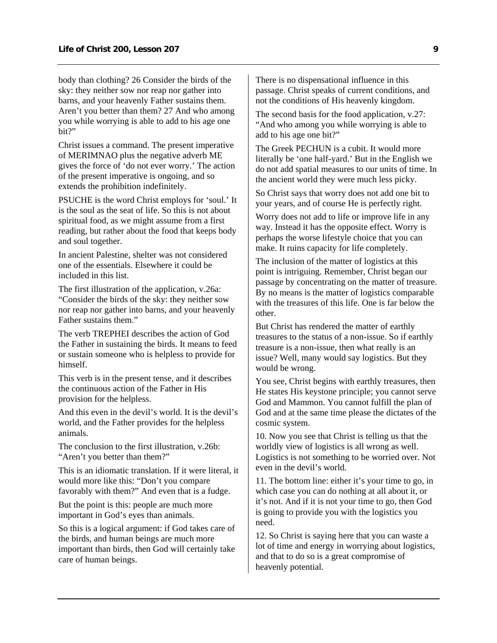body than clothing? 26 Consider the birds of the sky: they neither sow nor reap nor gather into barns, and your heavenly Father sustains them. Aren't you better than them? 27 And who among you while worrying is able to add to his age one bit?"

Christ issues a command. The present imperative of MERIMNAO plus the negative adverb ME gives the force of 'do not ever worry.' The action of the present imperative is ongoing, and so extends the prohibition indefinitely.

PSUCHE is the word Christ employs for 'soul.' It is the soul as the seat of life. So this is not about spiritual food, as we might assume from a first reading, but rather about the food that keeps body and soul together.

In ancient Palestine, shelter was not considered one of the essentials. Elsewhere it could be included in this list.

The first illustration of the application, v.26a: "Consider the birds of the sky: they neither sow nor reap nor gather into barns, and your heavenly Father sustains them."

The verb TREPHEI describes the action of God the Father in sustaining the birds. It means to feed or sustain someone who is helpless to provide for himself.

This verb is in the present tense, and it describes the continuous action of the Father in His provision for the helpless.

And this even in the devil's world. It is the devil's world, and the Father provides for the helpless animals.

The conclusion to the first illustration, v.26b: "Aren't you better than them?"

This is an idiomatic translation. If it were literal, it would more like this: "Don't you compare favorably with them?" And even that is a fudge.

But the point is this: people are much more important in God's eyes than animals.

So this is a logical argument: if God takes care of the birds, and human beings are much more important than birds, then God will certainly take care of human beings.

There is no dispensational influence in this passage. Christ speaks of current conditions, and not the conditions of His heavenly kingdom.

The second basis for the food application, v.27: "And who among you while worrying is able to add to his age one bit?"

The Greek PECHUN is a cubit. It would more literally be 'one half-yard.' But in the English we do not add spatial measures to our units of time. In the ancient world they were much less picky.

So Christ says that worry does not add one bit to your years, and of course He is perfectly right.

Worry does not add to life or improve life in any way. Instead it has the opposite effect. Worry is perhaps the worse lifestyle choice that you can make. It ruins capacity for life completely.

The inclusion of the matter of logistics at this point is intriguing. Remember, Christ began our passage by concentrating on the matter of treasure. By no means is the matter of logistics comparable with the treasures of this life. One is far below the other.

But Christ has rendered the matter of earthly treasures to the status of a non-issue. So if earthly treasure is a non-issue, then what really is an issue? Well, many would say logistics. But they would be wrong.

You see, Christ begins with earthly treasures, then He states His keystone principle; you cannot serve God and Mammon. You cannot fulfill the plan of God and at the same time please the dictates of the cosmic system.

10. Now you see that Christ is telling us that the worldly view of logistics is all wrong as well. Logistics is not something to be worried over. Not even in the devil's world.

11. The bottom line: either it's your time to go, in which case you can do nothing at all about it, or it's not. And if it is not your time to go, then God is going to provide you with the logistics you need.

12. So Christ is saying here that you can waste a lot of time and energy in worrying about logistics, and that to do so is a great compromise of heavenly potential.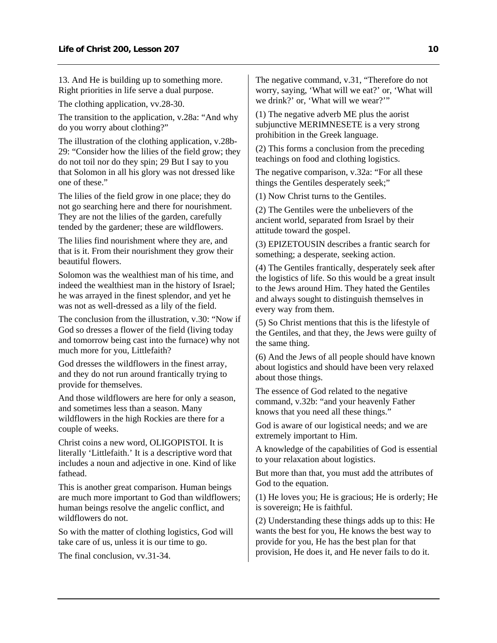13. And He is building up to something more. Right priorities in life serve a dual purpose.

The clothing application, vv.28-30.

The transition to the application, v.28a: "And why do you worry about clothing?"

The illustration of the clothing application, v.28b-29: "Consider how the lilies of the field grow; they do not toil nor do they spin; 29 But I say to you that Solomon in all his glory was not dressed like one of these."

The lilies of the field grow in one place; they do not go searching here and there for nourishment. They are not the lilies of the garden, carefully tended by the gardener; these are wildflowers.

The lilies find nourishment where they are, and that is it. From their nourishment they grow their beautiful flowers.

Solomon was the wealthiest man of his time, and indeed the wealthiest man in the history of Israel; he was arrayed in the finest splendor, and yet he was not as well-dressed as a lily of the field.

The conclusion from the illustration, v.30: "Now if God so dresses a flower of the field (living today and tomorrow being cast into the furnace) why not much more for you, Littlefaith?

God dresses the wildflowers in the finest array, and they do not run around frantically trying to provide for themselves.

And those wildflowers are here for only a season, and sometimes less than a season. Many wildflowers in the high Rockies are there for a couple of weeks.

Christ coins a new word, OLIGOPISTOI. It is literally 'Littlefaith.' It is a descriptive word that includes a noun and adjective in one. Kind of like fathead.

This is another great comparison. Human beings are much more important to God than wildflowers; human beings resolve the angelic conflict, and wildflowers do not.

So with the matter of clothing logistics, God will take care of us, unless it is our time to go.

The final conclusion, vv.31-34.

The negative command, v.31, "Therefore do not worry, saying, 'What will we eat?' or, 'What will we drink?' or, 'What will we wear?'"

(1) The negative adverb ME plus the aorist subjunctive MERIMNESETE is a very strong prohibition in the Greek language.

(2) This forms a conclusion from the preceding teachings on food and clothing logistics.

The negative comparison, v.32a: "For all these things the Gentiles desperately seek;"

(1) Now Christ turns to the Gentiles.

(2) The Gentiles were the unbelievers of the ancient world, separated from Israel by their attitude toward the gospel.

(3) EPIZETOUSIN describes a frantic search for something; a desperate, seeking action.

(4) The Gentiles frantically, desperately seek after the logistics of life. So this would be a great insult to the Jews around Him. They hated the Gentiles and always sought to distinguish themselves in every way from them.

(5) So Christ mentions that this is the lifestyle of the Gentiles, and that they, the Jews were guilty of the same thing.

(6) And the Jews of all people should have known about logistics and should have been very relaxed about those things.

The essence of God related to the negative command, v.32b: "and your heavenly Father knows that you need all these things."

God is aware of our logistical needs; and we are extremely important to Him.

A knowledge of the capabilities of God is essential to your relaxation about logistics.

But more than that, you must add the attributes of God to the equation.

(1) He loves you; He is gracious; He is orderly; He is sovereign; He is faithful.

(2) Understanding these things adds up to this: He wants the best for you, He knows the best way to provide for you, He has the best plan for that provision, He does it, and He never fails to do it.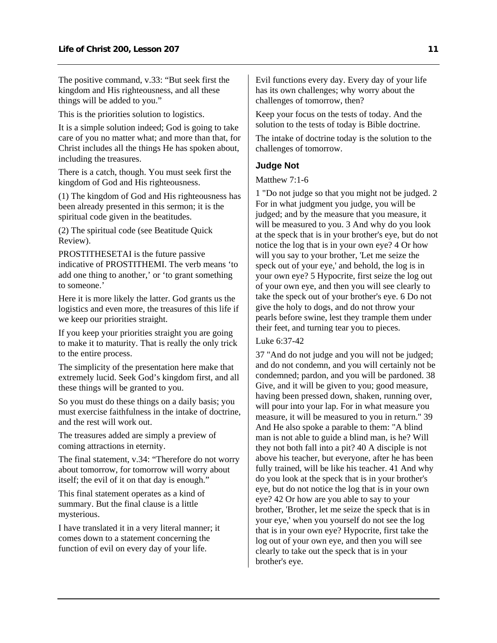<span id="page-12-0"></span>The positive command, v.33: "But seek first the kingdom and His righteousness, and all these things will be added to you."

This is the priorities solution to logistics.

It is a simple solution indeed; God is going to take care of you no matter what; and more than that, for Christ includes all the things He has spoken about, including the treasures.

There is a catch, though. You must seek first the kingdom of God and His righteousness.

(1) The kingdom of God and His righteousness has been already presented in this sermon; it is the spiritual code given in the beatitudes.

(2) The spiritual code (see Beatitude Quick Review).

PROSTITHESETAI is the future passive indicative of PROSTITHEMI. The verb means 'to add one thing to another,' or 'to grant something to someone.'

Here it is more likely the latter. God grants us the logistics and even more, the treasures of this life if we keep our priorities straight.

If you keep your priorities straight you are going to make it to maturity. That is really the only trick to the entire process.

The simplicity of the presentation here make that extremely lucid. Seek God's kingdom first, and all these things will be granted to you.

So you must do these things on a daily basis; you must exercise faithfulness in the intake of doctrine, and the rest will work out.

The treasures added are simply a preview of coming attractions in eternity.

The final statement, v.34: "Therefore do not worry about tomorrow, for tomorrow will worry about itself; the evil of it on that day is enough."

This final statement operates as a kind of summary. But the final clause is a little mysterious.

I have translated it in a very literal manner; it comes down to a statement concerning the function of evil on every day of your life.

Evil functions every day. Every day of your life has its own challenges; why worry about the challenges of tomorrow, then?

Keep your focus on the tests of today. And the solution to the tests of today is Bible doctrine.

The intake of doctrine today is the solution to the challenges of tomorrow.

#### **Judge Not**

Matthew 7:1-6

1 "Do not judge so that you might not be judged. 2 For in what judgment you judge, you will be judged; and by the measure that you measure, it will be measured to you. 3 And why do you look at the speck that is in your brother's eye, but do not notice the log that is in your own eye? 4 Or how will you say to your brother, 'Let me seize the speck out of your eye,' and behold, the log is in your own eye? 5 Hypocrite, first seize the log out of your own eye, and then you will see clearly to take the speck out of your brother's eye. 6 Do not give the holy to dogs, and do not throw your pearls before swine, lest they trample them under their feet, and turning tear you to pieces.

#### Luke 6:37-42

37 "And do not judge and you will not be judged; and do not condemn, and you will certainly not be condemned; pardon, and you will be pardoned. 38 Give, and it will be given to you; good measure, having been pressed down, shaken, running over, will pour into your lap. For in what measure you measure, it will be measured to you in return." 39 And He also spoke a parable to them: "A blind man is not able to guide a blind man, is he? Will they not both fall into a pit? 40 A disciple is not above his teacher, but everyone, after he has been fully trained, will be like his teacher. 41 And why do you look at the speck that is in your brother's eye, but do not notice the log that is in your own eye? 42 Or how are you able to say to your brother, 'Brother, let me seize the speck that is in your eye,' when you yourself do not see the log that is in your own eye? Hypocrite, first take the log out of your own eye, and then you will see clearly to take out the speck that is in your brother's eye.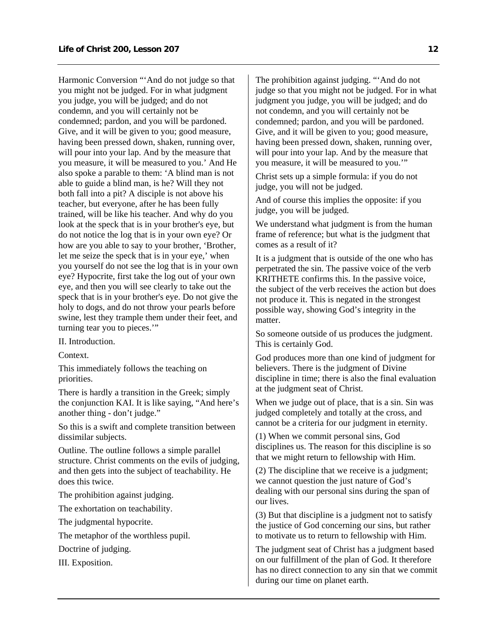Harmonic Conversion "'And do not judge so that you might not be judged. For in what judgment you judge, you will be judged; and do not condemn, and you will certainly not be condemned; pardon, and you will be pardoned. Give, and it will be given to you; good measure, having been pressed down, shaken, running over, will pour into your lap. And by the measure that you measure, it will be measured to you.' And He also spoke a parable to them: 'A blind man is not able to guide a blind man, is he? Will they not both fall into a pit? A disciple is not above his teacher, but everyone, after he has been fully trained, will be like his teacher. And why do you look at the speck that is in your brother's eye, but do not notice the log that is in your own eye? Or how are you able to say to your brother, 'Brother, let me seize the speck that is in your eye,' when you yourself do not see the log that is in your own eye? Hypocrite, first take the log out of your own eye, and then you will see clearly to take out the speck that is in your brother's eye. Do not give the holy to dogs, and do not throw your pearls before swine, lest they trample them under their feet, and turning tear you to pieces."

II. Introduction.

Context.

This immediately follows the teaching on priorities.

There is hardly a transition in the Greek; simply the conjunction KAI. It is like saying, "And here's another thing - don't judge."

So this is a swift and complete transition between dissimilar subjects.

Outline. The outline follows a simple parallel structure. Christ comments on the evils of judging, and then gets into the subject of teachability. He does this twice.

The prohibition against judging.

The exhortation on teachability.

The judgmental hypocrite.

The metaphor of the worthless pupil.

Doctrine of judging.

III. Exposition.

The prohibition against judging. "'And do not judge so that you might not be judged. For in what judgment you judge, you will be judged; and do not condemn, and you will certainly not be condemned; pardon, and you will be pardoned. Give, and it will be given to you; good measure, having been pressed down, shaken, running over, will pour into your lap. And by the measure that you measure, it will be measured to you.'"

Christ sets up a simple formula: if you do not judge, you will not be judged.

And of course this implies the opposite: if you judge, you will be judged.

We understand what judgment is from the human frame of reference; but what is the judgment that comes as a result of it?

It is a judgment that is outside of the one who has perpetrated the sin. The passive voice of the verb KRITHETE confirms this. In the passive voice, the subject of the verb receives the action but does not produce it. This is negated in the strongest possible way, showing God's integrity in the matter.

So someone outside of us produces the judgment. This is certainly God.

God produces more than one kind of judgment for believers. There is the judgment of Divine discipline in time; there is also the final evaluation at the judgment seat of Christ.

When we judge out of place, that is a sin. Sin was judged completely and totally at the cross, and cannot be a criteria for our judgment in eternity.

(1) When we commit personal sins, God disciplines us. The reason for this discipline is so that we might return to fellowship with Him.

(2) The discipline that we receive is a judgment; we cannot question the just nature of God's dealing with our personal sins during the span of our lives.

(3) But that discipline is a judgment not to satisfy the justice of God concerning our sins, but rather to motivate us to return to fellowship with Him.

The judgment seat of Christ has a judgment based on our fulfillment of the plan of God. It therefore has no direct connection to any sin that we commit during our time on planet earth.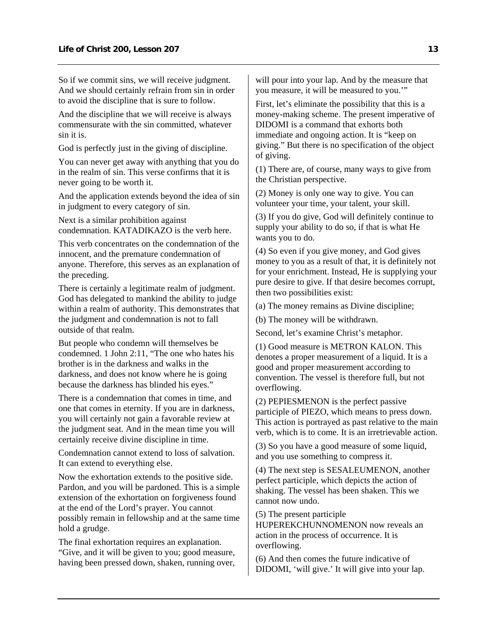So if we commit sins, we will receive judgment. And we should certainly refrain from sin in order to avoid the discipline that is sure to follow.

And the discipline that we will receive is always commensurate with the sin committed, whatever sin it is.

God is perfectly just in the giving of discipline.

You can never get away with anything that you do in the realm of sin. This verse confirms that it is never going to be worth it.

And the application extends beyond the idea of sin in judgment to every category of sin.

Next is a similar prohibition against condemnation. KATADIKAZO is the verb here.

This verb concentrates on the condemnation of the innocent, and the premature condemnation of anyone. Therefore, this serves as an explanation of the preceding.

There is certainly a legitimate realm of judgment. God has delegated to mankind the ability to judge within a realm of authority. This demonstrates that the judgment and condemnation is not to fall outside of that realm.

But people who condemn will themselves be condemned. 1 John 2:11, "The one who hates his brother is in the darkness and walks in the darkness, and does not know where he is going because the darkness has blinded his eyes."

There is a condemnation that comes in time, and one that comes in eternity. If you are in darkness, you will certainly not gain a favorable review at the judgment seat. And in the mean time you will certainly receive divine discipline in time.

Condemnation cannot extend to loss of salvation. It can extend to everything else.

Now the exhortation extends to the positive side. Pardon, and you will be pardoned. This is a simple extension of the exhortation on forgiveness found at the end of the Lord's prayer. You cannot possibly remain in fellowship and at the same time hold a grudge.

The final exhortation requires an explanation. "Give, and it will be given to you; good measure, having been pressed down, shaken, running over, will pour into your lap. And by the measure that you measure, it will be measured to you.'"

First, let's eliminate the possibility that this is a money-making scheme. The present imperative of DIDOMI is a command that exhorts both immediate and ongoing action. It is "keep on giving." But there is no specification of the object of giving.

(1) There are, of course, many ways to give from the Christian perspective.

(2) Money is only one way to give. You can volunteer your time, your talent, your skill.

(3) If you do give, God will definitely continue to supply your ability to do so, if that is what He wants you to do.

(4) So even if you give money, and God gives money to you as a result of that, it is definitely not for your enrichment. Instead, He is supplying your pure desire to give. If that desire becomes corrupt, then two possibilities exist:

(a) The money remains as Divine discipline;

(b) The money will be withdrawn.

Second, let's examine Christ's metaphor.

(1) Good measure is METRON KALON. This denotes a proper measurement of a liquid. It is a good and proper measurement according to convention. The vessel is therefore full, but not overflowing.

(2) PEPIESMENON is the perfect passive participle of PIEZO, which means to press down. This action is portrayed as past relative to the main verb, which is to come. It is an irretrievable action.

(3) So you have a good measure of some liquid, and you use something to compress it.

(4) The next step is SESALEUMENON, another perfect participle, which depicts the action of shaking. The vessel has been shaken. This we cannot now undo.

(5) The present participle

HUPEREKCHUNNOMENON now reveals an action in the process of occurrence. It is overflowing.

(6) And then comes the future indicative of DIDOMI, 'will give.' It will give into your lap.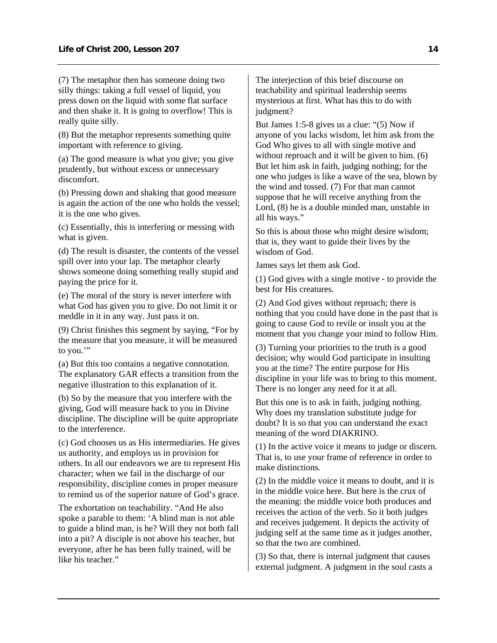(7) The metaphor then has someone doing two silly things: taking a full vessel of liquid, you press down on the liquid with some flat surface and then shake it. It is going to overflow! This is really quite silly.

(8) But the metaphor represents something quite important with reference to giving.

(a) The good measure is what you give; you give prudently, but without excess or unnecessary discomfort.

(b) Pressing down and shaking that good measure is again the action of the one who holds the vessel; it is the one who gives.

(c) Essentially, this is interfering or messing with what is given.

(d) The result is disaster, the contents of the vessel spill over into your lap. The metaphor clearly shows someone doing something really stupid and paying the price for it.

(e) The moral of the story is never interfere with what God has given you to give. Do not limit it or meddle in it in any way. Just pass it on.

(9) Christ finishes this segment by saying, "For by the measure that you measure, it will be measured to you."

(a) But this too contains a negative connotation. The explanatory GAR effects a transition from the negative illustration to this explanation of it.

(b) So by the measure that you interfere with the giving, God will measure back to you in Divine discipline. The discipline will be quite appropriate to the interference.

(c) God chooses us as His intermediaries. He gives us authority, and employs us in provision for others. In all our endeavors we are to represent His character; when we fail in the discharge of our responsibility, discipline comes in proper measure to remind us of the superior nature of God's grace.

The exhortation on teachability. "And He also spoke a parable to them: 'A blind man is not able to guide a blind man, is he? Will they not both fall into a pit? A disciple is not above his teacher, but everyone, after he has been fully trained, will be like his teacher."

The interjection of this brief discourse on teachability and spiritual leadership seems mysterious at first. What has this to do with judgment?

But James 1:5-8 gives us a clue: "(5) Now if anyone of you lacks wisdom, let him ask from the God Who gives to all with single motive and without reproach and it will be given to him.  $(6)$ But let him ask in faith, judging nothing; for the one who judges is like a wave of the sea, blown by the wind and tossed. (7) For that man cannot suppose that he will receive anything from the Lord, (8) he is a double minded man, unstable in all his ways."

So this is about those who might desire wisdom; that is, they want to guide their lives by the wisdom of God.

James says let them ask God.

(1) God gives with a single motive - to provide the best for His creatures.

(2) And God gives without reproach; there is nothing that you could have done in the past that is going to cause God to revile or insult you at the moment that you change your mind to follow Him.

(3) Turning your priorities to the truth is a good decision; why would God participate in insulting you at the time? The entire purpose for His discipline in your life was to bring to this moment. There is no longer any need for it at all.

But this one is to ask in faith, judging nothing. Why does my translation substitute judge for doubt? It is so that you can understand the exact meaning of the word DIAKRINO.

(1) In the active voice it means to judge or discern. That is, to use your frame of reference in order to make distinctions.

(2) In the middle voice it means to doubt, and it is in the middle voice here. But here is the crux of the meaning: the middle voice both produces and receives the action of the verb. So it both judges and receives judgement. It depicts the activity of judging self at the same time as it judges another, so that the two are combined.

(3) So that, there is internal judgment that causes external judgment. A judgment in the soul casts a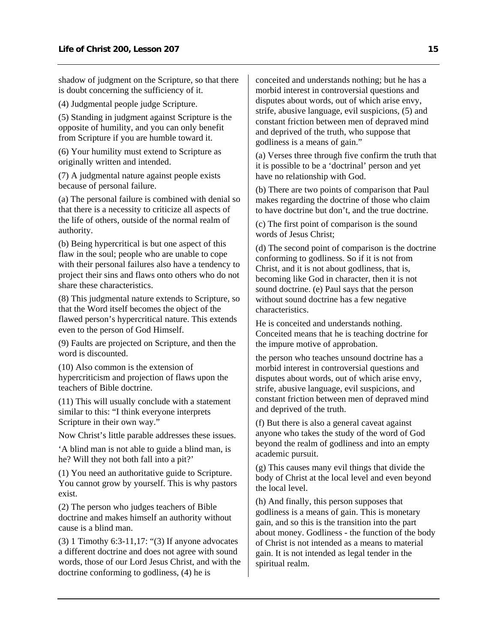shadow of judgment on the Scripture, so that there is doubt concerning the sufficiency of it.

(4) Judgmental people judge Scripture.

(5) Standing in judgment against Scripture is the opposite of humility, and you can only benefit from Scripture if you are humble toward it.

(6) Your humility must extend to Scripture as originally written and intended.

(7) A judgmental nature against people exists because of personal failure.

(a) The personal failure is combined with denial so that there is a necessity to criticize all aspects of the life of others, outside of the normal realm of authority.

(b) Being hypercritical is but one aspect of this flaw in the soul; people who are unable to cope with their personal failures also have a tendency to project their sins and flaws onto others who do not share these characteristics.

(8) This judgmental nature extends to Scripture, so that the Word itself becomes the object of the flawed person's hypercritical nature. This extends even to the person of God Himself.

(9) Faults are projected on Scripture, and then the word is discounted.

(10) Also common is the extension of hypercriticism and projection of flaws upon the teachers of Bible doctrine.

(11) This will usually conclude with a statement similar to this: "I think everyone interprets Scripture in their own way."

Now Christ's little parable addresses these issues.

'A blind man is not able to guide a blind man, is he? Will they not both fall into a pit?'

(1) You need an authoritative guide to Scripture. You cannot grow by yourself. This is why pastors exist.

(2) The person who judges teachers of Bible doctrine and makes himself an authority without cause is a blind man.

(3) 1 Timothy 6:3-11,17: "(3) If anyone advocates a different doctrine and does not agree with sound words, those of our Lord Jesus Christ, and with the doctrine conforming to godliness, (4) he is

conceited and understands nothing; but he has a morbid interest in controversial questions and disputes about words, out of which arise envy, strife, abusive language, evil suspicions, (5) and constant friction between men of depraved mind and deprived of the truth, who suppose that godliness is a means of gain."

(a) Verses three through five confirm the truth that it is possible to be a 'doctrinal' person and yet have no relationship with God.

(b) There are two points of comparison that Paul makes regarding the doctrine of those who claim to have doctrine but don't, and the true doctrine.

(c) The first point of comparison is the sound words of Jesus Christ;

(d) The second point of comparison is the doctrine conforming to godliness. So if it is not from Christ, and it is not about godliness, that is, becoming like God in character, then it is not sound doctrine. (e) Paul says that the person without sound doctrine has a few negative characteristics.

He is conceited and understands nothing. Conceited means that he is teaching doctrine for the impure motive of approbation.

the person who teaches unsound doctrine has a morbid interest in controversial questions and disputes about words, out of which arise envy, strife, abusive language, evil suspicions, and constant friction between men of depraved mind and deprived of the truth.

(f) But there is also a general caveat against anyone who takes the study of the word of God beyond the realm of godliness and into an empty academic pursuit.

(g) This causes many evil things that divide the body of Christ at the local level and even beyond the local level.

(h) And finally, this person supposes that godliness is a means of gain. This is monetary gain, and so this is the transition into the part about money. Godliness - the function of the body of Christ is not intended as a means to material gain. It is not intended as legal tender in the spiritual realm.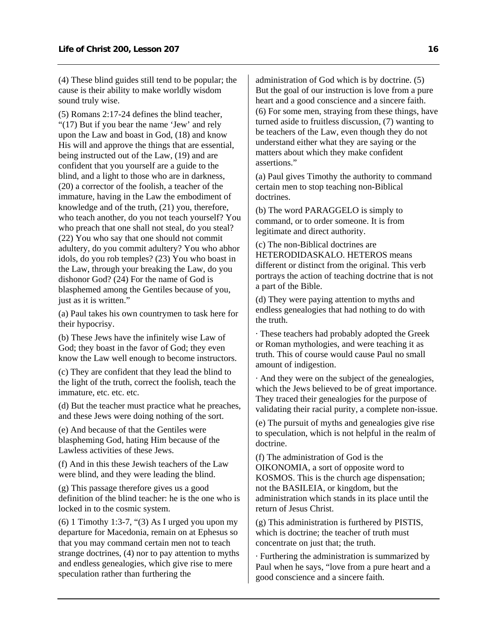(4) These blind guides still tend to be popular; the cause is their ability to make worldly wisdom sound truly wise.

(5) Romans 2:17-24 defines the blind teacher, "(17) But if you bear the name 'Jew' and rely upon the Law and boast in God, (18) and know His will and approve the things that are essential, being instructed out of the Law, (19) and are confident that you yourself are a guide to the blind, and a light to those who are in darkness, (20) a corrector of the foolish, a teacher of the immature, having in the Law the embodiment of knowledge and of the truth, (21) you, therefore, who teach another, do you not teach yourself? You who preach that one shall not steal, do you steal? (22) You who say that one should not commit adultery, do you commit adultery? You who abhor idols, do you rob temples? (23) You who boast in the Law, through your breaking the Law, do you dishonor God? (24) For the name of God is blasphemed among the Gentiles because of you, just as it is written."

(a) Paul takes his own countrymen to task here for their hypocrisy.

(b) These Jews have the infinitely wise Law of God; they boast in the favor of God; they even know the Law well enough to become instructors.

(c) They are confident that they lead the blind to the light of the truth, correct the foolish, teach the immature, etc. etc. etc.

(d) But the teacher must practice what he preaches, and these Jews were doing nothing of the sort.

(e) And because of that the Gentiles were blaspheming God, hating Him because of the Lawless activities of these Jews.

(f) And in this these Jewish teachers of the Law were blind, and they were leading the blind.

(g) This passage therefore gives us a good definition of the blind teacher: he is the one who is locked in to the cosmic system.

 $(6)$  1 Timothy 1:3-7, " $(3)$  As I urged you upon my departure for Macedonia, remain on at Ephesus so that you may command certain men not to teach strange doctrines, (4) nor to pay attention to myths and endless genealogies, which give rise to mere speculation rather than furthering the

administration of God which is by doctrine. (5) But the goal of our instruction is love from a pure heart and a good conscience and a sincere faith. (6) For some men, straying from these things, have turned aside to fruitless discussion, (7) wanting to be teachers of the Law, even though they do not understand either what they are saying or the matters about which they make confident assertions."

(a) Paul gives Timothy the authority to command certain men to stop teaching non-Biblical doctrines.

(b) The word PARAGGELO is simply to command, or to order someone. It is from legitimate and direct authority.

(c) The non-Biblical doctrines are HETERODIDASKALO. HETEROS means different or distinct from the original. This verb portrays the action of teaching doctrine that is not a part of the Bible.

(d) They were paying attention to myths and endless genealogies that had nothing to do with the truth.

· These teachers had probably adopted the Greek or Roman mythologies, and were teaching it as truth. This of course would cause Paul no small amount of indigestion.

· And they were on the subject of the genealogies, which the Jews believed to be of great importance. They traced their genealogies for the purpose of validating their racial purity, a complete non-issue.

(e) The pursuit of myths and genealogies give rise to speculation, which is not helpful in the realm of doctrine.

(f) The administration of God is the OIKONOMIA, a sort of opposite word to KOSMOS. This is the church age dispensation; not the BASILEIA, or kingdom, but the administration which stands in its place until the return of Jesus Christ.

(g) This administration is furthered by PISTIS, which is doctrine; the teacher of truth must concentrate on just that; the truth.

· Furthering the administration is summarized by Paul when he says, "love from a pure heart and a good conscience and a sincere faith.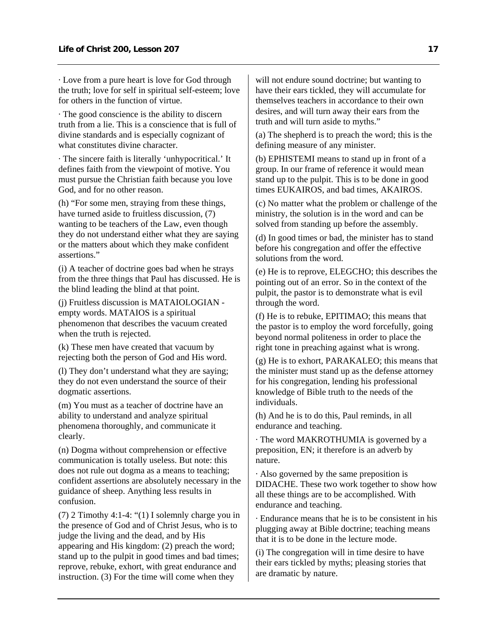· Love from a pure heart is love for God through the truth; love for self in spiritual self-esteem; love for others in the function of virtue.

· The good conscience is the ability to discern truth from a lie. This is a conscience that is full of divine standards and is especially cognizant of what constitutes divine character.

· The sincere faith is literally 'unhypocritical.' It defines faith from the viewpoint of motive. You must pursue the Christian faith because you love God, and for no other reason.

(h) "For some men, straying from these things, have turned aside to fruitless discussion, (7) wanting to be teachers of the Law, even though they do not understand either what they are saying or the matters about which they make confident assertions."

(i) A teacher of doctrine goes bad when he strays from the three things that Paul has discussed. He is the blind leading the blind at that point.

(j) Fruitless discussion is MATAIOLOGIAN empty words. MATAIOS is a spiritual phenomenon that describes the vacuum created when the truth is rejected.

(k) These men have created that vacuum by rejecting both the person of God and His word.

(l) They don't understand what they are saying; they do not even understand the source of their dogmatic assertions.

(m) You must as a teacher of doctrine have an ability to understand and analyze spiritual phenomena thoroughly, and communicate it clearly.

(n) Dogma without comprehension or effective communication is totally useless. But note: this does not rule out dogma as a means to teaching; confident assertions are absolutely necessary in the guidance of sheep. Anything less results in confusion.

(7) 2 Timothy 4:1-4: "(1) I solemnly charge you in the presence of God and of Christ Jesus, who is to judge the living and the dead, and by His appearing and His kingdom: (2) preach the word; stand up to the pulpit in good times and bad times; reprove, rebuke, exhort, with great endurance and instruction. (3) For the time will come when they

will not endure sound doctrine; but wanting to have their ears tickled, they will accumulate for themselves teachers in accordance to their own desires, and will turn away their ears from the truth and will turn aside to myths."

(a) The shepherd is to preach the word; this is the defining measure of any minister.

(b) EPHISTEMI means to stand up in front of a group. In our frame of reference it would mean stand up to the pulpit. This is to be done in good times EUKAIROS, and bad times, AKAIROS.

(c) No matter what the problem or challenge of the ministry, the solution is in the word and can be solved from standing up before the assembly.

(d) In good times or bad, the minister has to stand before his congregation and offer the effective solutions from the word.

(e) He is to reprove, ELEGCHO; this describes the pointing out of an error. So in the context of the pulpit, the pastor is to demonstrate what is evil through the word.

(f) He is to rebuke, EPITIMAO; this means that the pastor is to employ the word forcefully, going beyond normal politeness in order to place the right tone in preaching against what is wrong.

(g) He is to exhort, PARAKALEO; this means that the minister must stand up as the defense attorney for his congregation, lending his professional knowledge of Bible truth to the needs of the individuals.

(h) And he is to do this, Paul reminds, in all endurance and teaching.

· The word MAKROTHUMIA is governed by a preposition, EN; it therefore is an adverb by nature.

· Also governed by the same preposition is DIDACHE. These two work together to show how all these things are to be accomplished. With endurance and teaching.

· Endurance means that he is to be consistent in his plugging away at Bible doctrine; teaching means that it is to be done in the lecture mode.

(i) The congregation will in time desire to have their ears tickled by myths; pleasing stories that are dramatic by nature.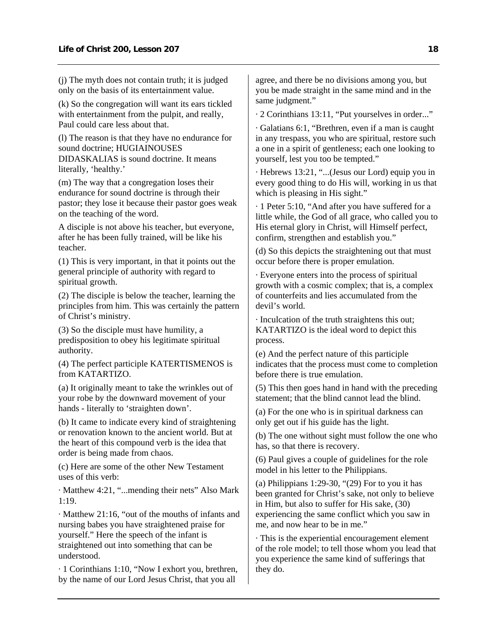(j) The myth does not contain truth; it is judged only on the basis of its entertainment value.

(k) So the congregation will want its ears tickled with entertainment from the pulpit, and really, Paul could care less about that.

(l) The reason is that they have no endurance for sound doctrine; HUGIAINOUSES DIDASKALIAS is sound doctrine. It means literally, 'healthy.'

(m) The way that a congregation loses their endurance for sound doctrine is through their pastor; they lose it because their pastor goes weak on the teaching of the word.

A disciple is not above his teacher, but everyone, after he has been fully trained, will be like his teacher.

(1) This is very important, in that it points out the general principle of authority with regard to spiritual growth.

(2) The disciple is below the teacher, learning the principles from him. This was certainly the pattern of Christ's ministry.

(3) So the disciple must have humility, a predisposition to obey his legitimate spiritual authority.

(4) The perfect participle KATERTISMENOS is from KATARTIZO.

(a) It originally meant to take the wrinkles out of your robe by the downward movement of your hands - literally to 'straighten down'.

(b) It came to indicate every kind of straightening or renovation known to the ancient world. But at the heart of this compound verb is the idea that order is being made from chaos.

(c) Here are some of the other New Testament uses of this verb:

· Matthew 4:21, "...mending their nets" Also Mark 1:19.

· Matthew 21:16, "out of the mouths of infants and nursing babes you have straightened praise for yourself." Here the speech of the infant is straightened out into something that can be understood.

· 1 Corinthians 1:10, "Now I exhort you, brethren, by the name of our Lord Jesus Christ, that you all

agree, and there be no divisions among you, but you be made straight in the same mind and in the same judgment."

· 2 Corinthians 13:11, "Put yourselves in order..."

· Galatians 6:1, "Brethren, even if a man is caught in any trespass, you who are spiritual, restore such a one in a spirit of gentleness; each one looking to yourself, lest you too be tempted."

· Hebrews 13:21, "...(Jesus our Lord) equip you in every good thing to do His will, working in us that which is pleasing in His sight."

· 1 Peter 5:10, "And after you have suffered for a little while, the God of all grace, who called you to His eternal glory in Christ, will Himself perfect, confirm, strengthen and establish you."

(d) So this depicts the straightening out that must occur before there is proper emulation.

· Everyone enters into the process of spiritual growth with a cosmic complex; that is, a complex of counterfeits and lies accumulated from the devil's world.

· Inculcation of the truth straightens this out; KATARTIZO is the ideal word to depict this process.

(e) And the perfect nature of this participle indicates that the process must come to completion before there is true emulation.

(5) This then goes hand in hand with the preceding statement; that the blind cannot lead the blind.

(a) For the one who is in spiritual darkness can only get out if his guide has the light.

(b) The one without sight must follow the one who has, so that there is recovery.

(6) Paul gives a couple of guidelines for the role model in his letter to the Philippians.

(a) Philippians 1:29-30, " $(29)$  For to you it has been granted for Christ's sake, not only to believe in Him, but also to suffer for His sake, (30) experiencing the same conflict which you saw in me, and now hear to be in me."

· This is the experiential encouragement element of the role model; to tell those whom you lead that you experience the same kind of sufferings that they do.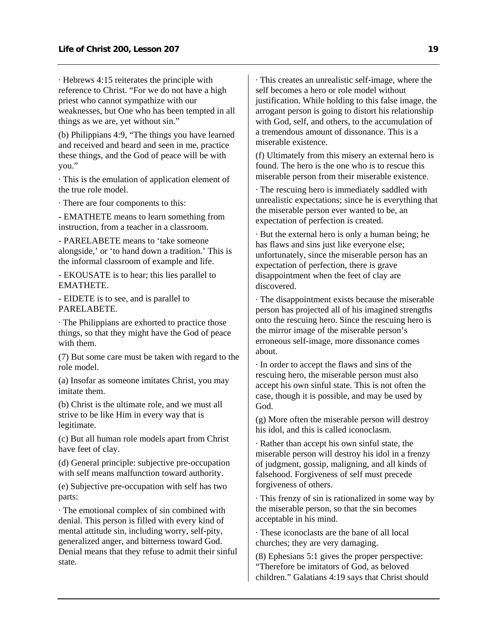· Hebrews 4:15 reiterates the principle with reference to Christ. "For we do not have a high priest who cannot sympathize with our weaknesses, but One who has been tempted in all things as we are, yet without sin."

(b) Philippians 4:9, "The things you have learned and received and heard and seen in me, practice these things, and the God of peace will be with you."

· This is the emulation of application element of the true role model.

· There are four components to this:

- EMATHETE means to learn something from instruction, from a teacher in a classroom.

- PARELABETE means to 'take someone alongside,' or 'to hand down a tradition.' This is the informal classroom of example and life.

- EKOUSATE is to hear; this lies parallel to EMATHETE.

- EIDETE is to see, and is parallel to PARELABETE.

· The Philippians are exhorted to practice those things, so that they might have the God of peace with them.

(7) But some care must be taken with regard to the role model.

(a) Insofar as someone imitates Christ, you may imitate them.

(b) Christ is the ultimate role, and we must all strive to be like Him in every way that is legitimate.

(c) But all human role models apart from Christ have feet of clay.

(d) General principle: subjective pre-occupation with self means malfunction toward authority.

(e) Subjective pre-occupation with self has two parts:

· The emotional complex of sin combined with denial. This person is filled with every kind of mental attitude sin, including worry, self-pity, generalized anger, and bitterness toward God. Denial means that they refuse to admit their sinful state.

· This creates an unrealistic self-image, where the self becomes a hero or role model without justification. While holding to this false image, the arrogant person is going to distort his relationship with God, self, and others, to the accumulation of a tremendous amount of dissonance. This is a miserable existence.

(f) Ultimately from this misery an external hero is found. The hero is the one who is to rescue this miserable person from their miserable existence.

· The rescuing hero is immediately saddled with unrealistic expectations; since he is everything that the miserable person ever wanted to be, an expectation of perfection is created.

· But the external hero is only a human being; he has flaws and sins just like everyone else; unfortunately, since the miserable person has an expectation of perfection, there is grave disappointment when the feet of clay are discovered.

· The disappointment exists because the miserable person has projected all of his imagined strengths onto the rescuing hero. Since the rescuing hero is the mirror image of the miserable person's erroneous self-image, more dissonance comes about.

· In order to accept the flaws and sins of the rescuing hero, the miserable person must also accept his own sinful state. This is not often the case, though it is possible, and may be used by God.

(g) More often the miserable person will destroy his idol, and this is called iconoclasm.

· Rather than accept his own sinful state, the miserable person will destroy his idol in a frenzy of judgment, gossip, maligning, and all kinds of falsehood. Forgiveness of self must precede forgiveness of others.

· This frenzy of sin is rationalized in some way by the miserable person, so that the sin becomes acceptable in his mind.

· These iconoclasts are the bane of all local churches; they are very damaging.

(8) Ephesians 5:1 gives the proper perspective: "Therefore be imitators of God, as beloved children." Galatians 4:19 says that Christ should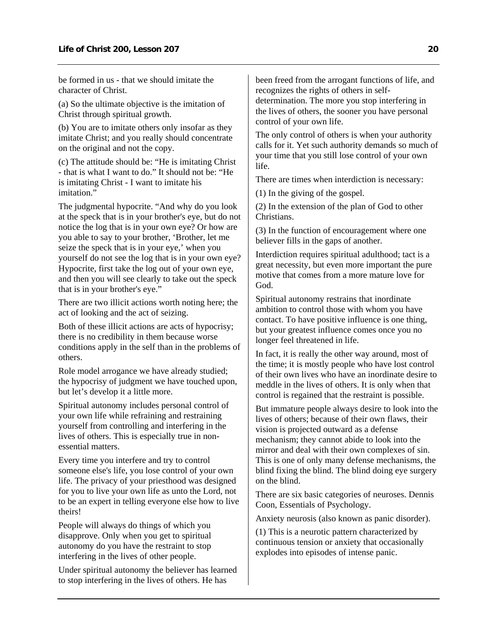be formed in us - that we should imitate the character of Christ.

(a) So the ultimate objective is the imitation of Christ through spiritual growth.

(b) You are to imitate others only insofar as they imitate Christ; and you really should concentrate on the original and not the copy.

(c) The attitude should be: "He is imitating Christ - that is what I want to do." It should not be: "He is imitating Christ - I want to imitate his imitation."

The judgmental hypocrite. "And why do you look at the speck that is in your brother's eye, but do not notice the log that is in your own eye? Or how are you able to say to your brother, 'Brother, let me seize the speck that is in your eye,' when you yourself do not see the log that is in your own eye? Hypocrite, first take the log out of your own eye, and then you will see clearly to take out the speck that is in your brother's eye."

There are two illicit actions worth noting here; the act of looking and the act of seizing.

Both of these illicit actions are acts of hypocrisy; there is no credibility in them because worse conditions apply in the self than in the problems of others.

Role model arrogance we have already studied; the hypocrisy of judgment we have touched upon, but let's develop it a little more.

Spiritual autonomy includes personal control of your own life while refraining and restraining yourself from controlling and interfering in the lives of others. This is especially true in nonessential matters.

Every time you interfere and try to control someone else's life, you lose control of your own life. The privacy of your priesthood was designed for you to live your own life as unto the Lord, not to be an expert in telling everyone else how to live theirs!

People will always do things of which you disapprove. Only when you get to spiritual autonomy do you have the restraint to stop interfering in the lives of other people.

Under spiritual autonomy the believer has learned to stop interfering in the lives of others. He has

been freed from the arrogant functions of life, and recognizes the rights of others in selfdetermination. The more you stop interfering in the lives of others, the sooner you have personal control of your own life.

The only control of others is when your authority calls for it. Yet such authority demands so much of your time that you still lose control of your own life.

There are times when interdiction is necessary:

(1) In the giving of the gospel.

(2) In the extension of the plan of God to other Christians.

(3) In the function of encouragement where one believer fills in the gaps of another.

Interdiction requires spiritual adulthood; tact is a great necessity, but even more important the pure motive that comes from a more mature love for God.

Spiritual autonomy restrains that inordinate ambition to control those with whom you have contact. To have positive influence is one thing, but your greatest influence comes once you no longer feel threatened in life.

In fact, it is really the other way around, most of the time; it is mostly people who have lost control of their own lives who have an inordinate desire to meddle in the lives of others. It is only when that control is regained that the restraint is possible.

But immature people always desire to look into the lives of others; because of their own flaws, their vision is projected outward as a defense mechanism; they cannot abide to look into the mirror and deal with their own complexes of sin. This is one of only many defense mechanisms, the blind fixing the blind. The blind doing eye surgery on the blind.

There are six basic categories of neuroses. Dennis Coon, Essentials of Psychology.

Anxiety neurosis (also known as panic disorder).

(1) This is a neurotic pattern characterized by continuous tension or anxiety that occasionally explodes into episodes of intense panic.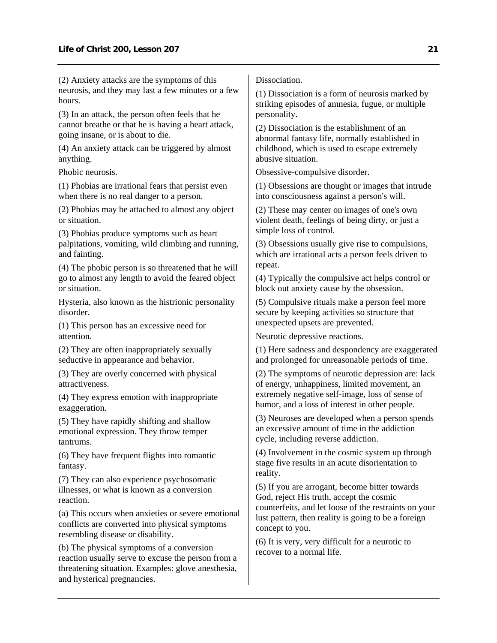(2) Anxiety attacks are the symptoms of this neurosis, and they may last a few minutes or a few hours.

(3) In an attack, the person often feels that he cannot breathe or that he is having a heart attack, going insane, or is about to die.

(4) An anxiety attack can be triggered by almost anything.

Phobic neurosis.

(1) Phobias are irrational fears that persist even when there is no real danger to a person.

(2) Phobias may be attached to almost any object or situation.

(3) Phobias produce symptoms such as heart palpitations, vomiting, wild climbing and running, and fainting.

(4) The phobic person is so threatened that he will go to almost any length to avoid the feared object or situation.

Hysteria, also known as the histrionic personality disorder.

(1) This person has an excessive need for attention.

(2) They are often inappropriately sexually seductive in appearance and behavior.

(3) They are overly concerned with physical attractiveness.

(4) They express emotion with inappropriate exaggeration.

(5) They have rapidly shifting and shallow emotional expression. They throw temper tantrums.

(6) They have frequent flights into romantic fantasy.

(7) They can also experience psychosomatic illnesses, or what is known as a conversion reaction.

(a) This occurs when anxieties or severe emotional conflicts are converted into physical symptoms resembling disease or disability.

(b) The physical symptoms of a conversion reaction usually serve to excuse the person from a threatening situation. Examples: glove anesthesia, and hysterical pregnancies.

**Dissociation** 

(1) Dissociation is a form of neurosis marked by striking episodes of amnesia, fugue, or multiple personality.

(2) Dissociation is the establishment of an abnormal fantasy life, normally established in childhood, which is used to escape extremely abusive situation.

Obsessive-compulsive disorder.

(1) Obsessions are thought or images that intrude into consciousness against a person's will.

(2) These may center on images of one's own violent death, feelings of being dirty, or just a simple loss of control.

(3) Obsessions usually give rise to compulsions, which are irrational acts a person feels driven to repeat.

(4) Typically the compulsive act helps control or block out anxiety cause by the obsession.

(5) Compulsive rituals make a person feel more secure by keeping activities so structure that unexpected upsets are prevented.

Neurotic depressive reactions.

(1) Here sadness and despondency are exaggerated and prolonged for unreasonable periods of time.

(2) The symptoms of neurotic depression are: lack of energy, unhappiness, limited movement, an extremely negative self-image, loss of sense of humor, and a loss of interest in other people.

(3) Neuroses are developed when a person spends an excessive amount of time in the addiction cycle, including reverse addiction.

(4) Involvement in the cosmic system up through stage five results in an acute disorientation to reality.

(5) If you are arrogant, become bitter towards God, reject His truth, accept the cosmic counterfeits, and let loose of the restraints on your lust pattern, then reality is going to be a foreign concept to you.

(6) It is very, very difficult for a neurotic to recover to a normal life.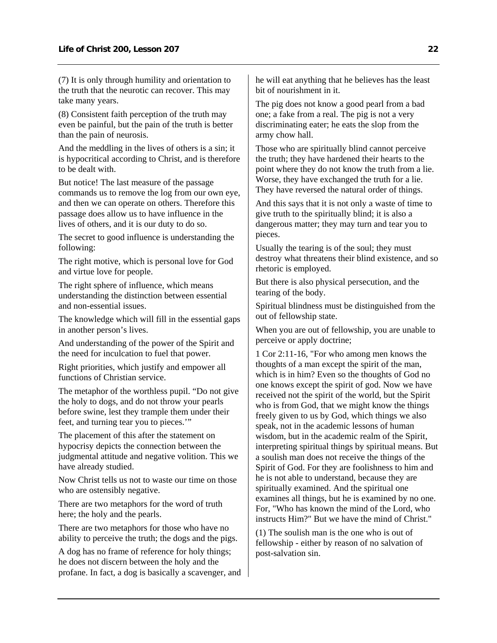(7) It is only through humility and orientation to the truth that the neurotic can recover. This may take many years.

(8) Consistent faith perception of the truth may even be painful, but the pain of the truth is better than the pain of neurosis.

And the meddling in the lives of others is a sin; it is hypocritical according to Christ, and is therefore to be dealt with.

But notice! The last measure of the passage commands us to remove the log from our own eye, and then we can operate on others. Therefore this passage does allow us to have influence in the lives of others, and it is our duty to do so.

The secret to good influence is understanding the following:

The right motive, which is personal love for God and virtue love for people.

The right sphere of influence, which means understanding the distinction between essential and non-essential issues.

The knowledge which will fill in the essential gaps in another person's lives.

And understanding of the power of the Spirit and the need for inculcation to fuel that power.

Right priorities, which justify and empower all functions of Christian service.

The metaphor of the worthless pupil. "Do not give the holy to dogs, and do not throw your pearls before swine, lest they trample them under their feet, and turning tear you to pieces.'"

The placement of this after the statement on hypocrisy depicts the connection between the judgmental attitude and negative volition. This we have already studied.

Now Christ tells us not to waste our time on those who are ostensibly negative.

There are two metaphors for the word of truth here; the holy and the pearls.

There are two metaphors for those who have no ability to perceive the truth; the dogs and the pigs.

A dog has no frame of reference for holy things; he does not discern between the holy and the profane. In fact, a dog is basically a scavenger, and he will eat anything that he believes has the least bit of nourishment in it.

The pig does not know a good pearl from a bad one; a fake from a real. The pig is not a very discriminating eater; he eats the slop from the army chow hall.

Those who are spiritually blind cannot perceive the truth; they have hardened their hearts to the point where they do not know the truth from a lie. Worse, they have exchanged the truth for a lie. They have reversed the natural order of things.

And this says that it is not only a waste of time to give truth to the spiritually blind; it is also a dangerous matter; they may turn and tear you to pieces.

Usually the tearing is of the soul; they must destroy what threatens their blind existence, and so rhetoric is employed.

But there is also physical persecution, and the tearing of the body.

Spiritual blindness must be distinguished from the out of fellowship state.

When you are out of fellowship, you are unable to perceive or apply doctrine;

1 Cor 2:11-16, "For who among men knows the thoughts of a man except the spirit of the man, which is in him? Even so the thoughts of God no one knows except the spirit of god. Now we have received not the spirit of the world, but the Spirit who is from God, that we might know the things freely given to us by God, which things we also speak, not in the academic lessons of human wisdom, but in the academic realm of the Spirit, interpreting spiritual things by spiritual means. But a soulish man does not receive the things of the Spirit of God. For they are foolishness to him and he is not able to understand, because they are spiritually examined. And the spiritual one examines all things, but he is examined by no one. For, "Who has known the mind of the Lord, who instructs Him?" But we have the mind of Christ."

(1) The soulish man is the one who is out of fellowship - either by reason of no salvation of post-salvation sin.